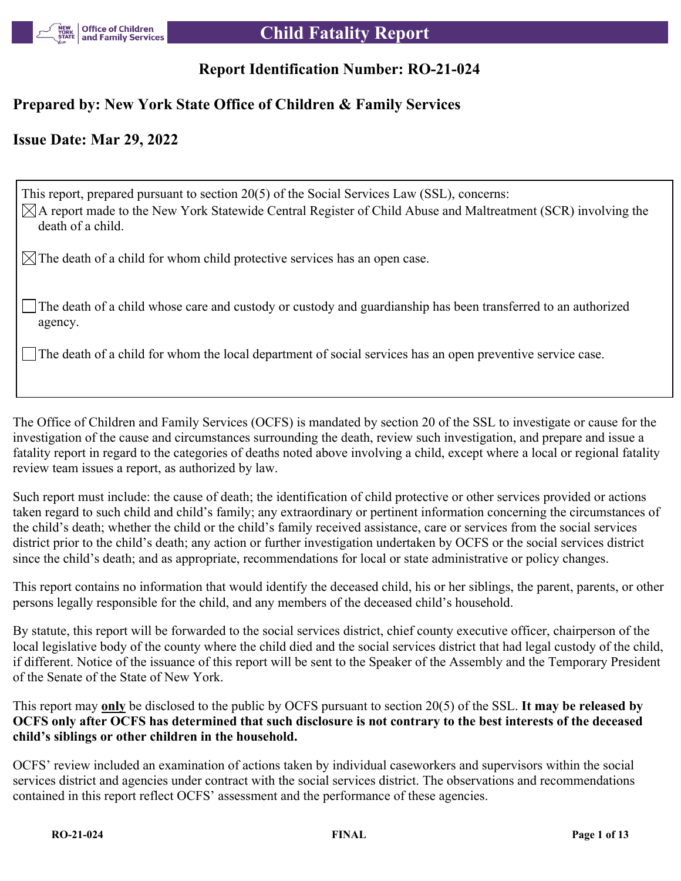

# **Report Identification Number: RO-21-024**

# **Prepared by: New York State Office of Children & Family Services**

# **Issue Date: Mar 29, 2022**

This report, prepared pursuant to section 20(5) of the Social Services Law (SSL), concerns:  $\boxtimes$ A report made to the New York Statewide Central Register of Child Abuse and Maltreatment (SCR) involving the death of a child.

 $\boxtimes$  The death of a child for whom child protective services has an open case.

The death of a child whose care and custody or custody and guardianship has been transferred to an authorized agency.

The death of a child for whom the local department of social services has an open preventive service case.

The Office of Children and Family Services (OCFS) is mandated by section 20 of the SSL to investigate or cause for the investigation of the cause and circumstances surrounding the death, review such investigation, and prepare and issue a fatality report in regard to the categories of deaths noted above involving a child, except where a local or regional fatality review team issues a report, as authorized by law.

Such report must include: the cause of death; the identification of child protective or other services provided or actions taken regard to such child and child's family; any extraordinary or pertinent information concerning the circumstances of the child's death; whether the child or the child's family received assistance, care or services from the social services district prior to the child's death; any action or further investigation undertaken by OCFS or the social services district since the child's death; and as appropriate, recommendations for local or state administrative or policy changes.

This report contains no information that would identify the deceased child, his or her siblings, the parent, parents, or other persons legally responsible for the child, and any members of the deceased child's household.

By statute, this report will be forwarded to the social services district, chief county executive officer, chairperson of the local legislative body of the county where the child died and the social services district that had legal custody of the child, if different. Notice of the issuance of this report will be sent to the Speaker of the Assembly and the Temporary President of the Senate of the State of New York.

This report may **only** be disclosed to the public by OCFS pursuant to section 20(5) of the SSL. **It may be released by OCFS only after OCFS has determined that such disclosure is not contrary to the best interests of the deceased child's siblings or other children in the household.**

OCFS' review included an examination of actions taken by individual caseworkers and supervisors within the social services district and agencies under contract with the social services district. The observations and recommendations contained in this report reflect OCFS' assessment and the performance of these agencies.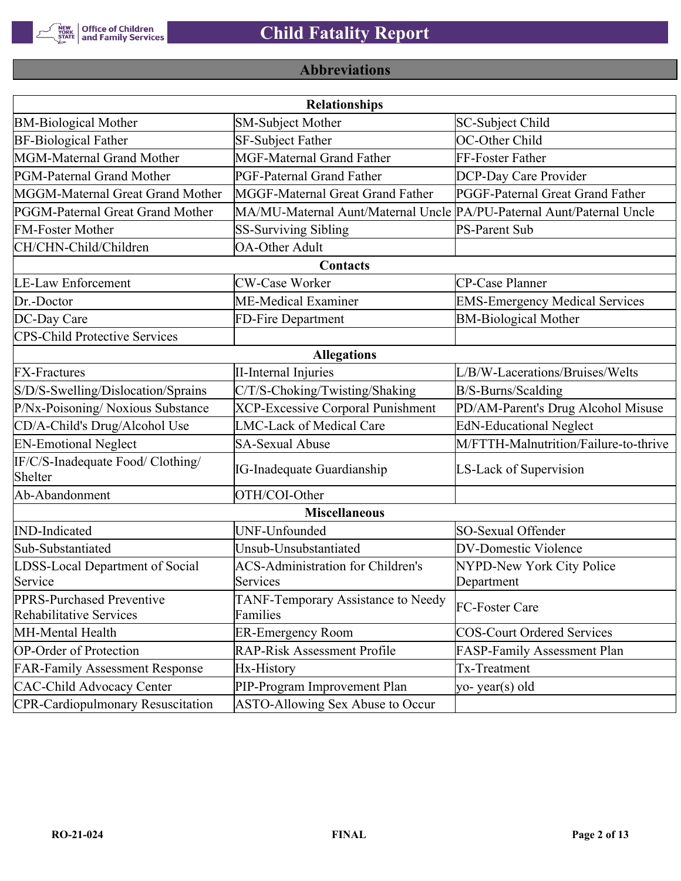

# **Abbreviations**

| <b>Relationships</b>                                 |                                                                       |                                       |  |  |  |
|------------------------------------------------------|-----------------------------------------------------------------------|---------------------------------------|--|--|--|
| <b>BM-Biological Mother</b>                          | <b>SM-Subject Mother</b>                                              | SC-Subject Child                      |  |  |  |
| <b>BF-Biological Father</b>                          | SF-Subject Father                                                     | OC-Other Child                        |  |  |  |
| MGM-Maternal Grand Mother                            | <b>MGF-Maternal Grand Father</b>                                      | FF-Foster Father                      |  |  |  |
| PGM-Paternal Grand Mother                            | PGF-Paternal Grand Father                                             | DCP-Day Care Provider                 |  |  |  |
| MGGM-Maternal Great Grand Mother                     | MGGF-Maternal Great Grand Father                                      | PGGF-Paternal Great Grand Father      |  |  |  |
| PGGM-Paternal Great Grand Mother                     | MA/MU-Maternal Aunt/Maternal Uncle PA/PU-Paternal Aunt/Paternal Uncle |                                       |  |  |  |
| <b>FM-Foster Mother</b>                              | <b>SS-Surviving Sibling</b>                                           | <b>PS-Parent Sub</b>                  |  |  |  |
| CH/CHN-Child/Children                                | <b>OA-Other Adult</b>                                                 |                                       |  |  |  |
|                                                      | Contacts                                                              |                                       |  |  |  |
| <b>LE-Law Enforcement</b>                            | <b>CW-Case Worker</b>                                                 | CP-Case Planner                       |  |  |  |
| Dr.-Doctor                                           | ME-Medical Examiner                                                   | <b>EMS-Emergency Medical Services</b> |  |  |  |
| DC-Day Care                                          | FD-Fire Department                                                    | <b>BM-Biological Mother</b>           |  |  |  |
| <b>CPS-Child Protective Services</b>                 |                                                                       |                                       |  |  |  |
|                                                      | <b>Allegations</b>                                                    |                                       |  |  |  |
| <b>FX-Fractures</b>                                  | <b>II-Internal Injuries</b>                                           | L/B/W-Lacerations/Bruises/Welts       |  |  |  |
| S/D/S-Swelling/Dislocation/Sprains                   | C/T/S-Choking/Twisting/Shaking                                        | B/S-Burns/Scalding                    |  |  |  |
| P/Nx-Poisoning/ Noxious Substance                    | <b>XCP-Excessive Corporal Punishment</b>                              | PD/AM-Parent's Drug Alcohol Misuse    |  |  |  |
| CD/A-Child's Drug/Alcohol Use                        | <b>LMC-Lack of Medical Care</b>                                       | <b>EdN-Educational Neglect</b>        |  |  |  |
| <b>EN-Emotional Neglect</b>                          | <b>SA-Sexual Abuse</b>                                                | M/FTTH-Malnutrition/Failure-to-thrive |  |  |  |
| IF/C/S-Inadequate Food/ Clothing/<br>Shelter         | <b>IG-Inadequate Guardianship</b>                                     | LS-Lack of Supervision                |  |  |  |
| Ab-Abandonment                                       | OTH/COI-Other                                                         |                                       |  |  |  |
|                                                      | <b>Miscellaneous</b>                                                  |                                       |  |  |  |
| <b>IND-Indicated</b>                                 | UNF-Unfounded                                                         | SO-Sexual Offender                    |  |  |  |
| Sub-Substantiated                                    | Unsub-Unsubstantiated                                                 | <b>DV-Domestic Violence</b>           |  |  |  |
| LDSS-Local Department of Social                      | <b>ACS-Administration for Children's</b>                              | NYPD-New York City Police             |  |  |  |
| Service                                              | Services                                                              | Department                            |  |  |  |
| PPRS-Purchased Preventive<br>Rehabilitative Services | TANF-Temporary Assistance to Needy<br>Families                        | FC-Foster Care                        |  |  |  |
| MH-Mental Health                                     | <b>ER-Emergency Room</b>                                              | <b>COS-Court Ordered Services</b>     |  |  |  |
| <b>OP-Order of Protection</b>                        | <b>RAP-Risk Assessment Profile</b>                                    | FASP-Family Assessment Plan           |  |  |  |
| <b>FAR-Family Assessment Response</b>                | Hx-History                                                            | Tx-Treatment                          |  |  |  |
| <b>CAC-Child Advocacy Center</b>                     | PIP-Program Improvement Plan                                          | yo-year(s) old                        |  |  |  |
| <b>CPR-Cardiopulmonary Resuscitation</b>             | ASTO-Allowing Sex Abuse to Occur                                      |                                       |  |  |  |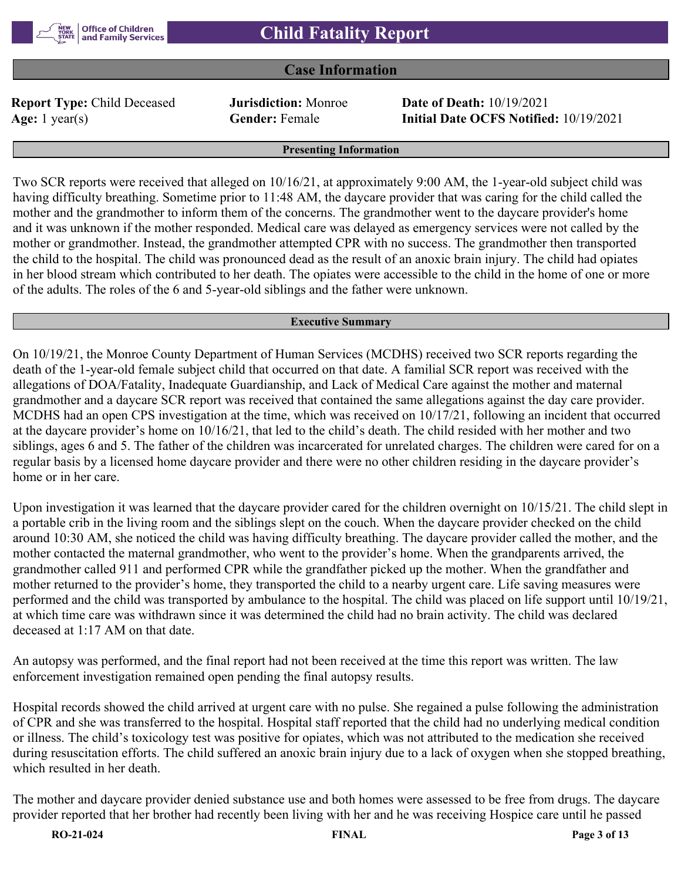

### **Case Information**

**Report Type:** Child Deceased **Jurisdiction:** Monroe **Date of Death:** 10/19/2021

**Age:** 1 year(s) **Gender:** Female **Initial Date OCFS Notified:** 10/19/2021

#### **Presenting Information**

Two SCR reports were received that alleged on 10/16/21, at approximately 9:00 AM, the 1-year-old subject child was having difficulty breathing. Sometime prior to 11:48 AM, the daycare provider that was caring for the child called the mother and the grandmother to inform them of the concerns. The grandmother went to the daycare provider's home and it was unknown if the mother responded. Medical care was delayed as emergency services were not called by the mother or grandmother. Instead, the grandmother attempted CPR with no success. The grandmother then transported the child to the hospital. The child was pronounced dead as the result of an anoxic brain injury. The child had opiates in her blood stream which contributed to her death. The opiates were accessible to the child in the home of one or more of the adults. The roles of the 6 and 5-year-old siblings and the father were unknown.

#### **Executive Summary**

On 10/19/21, the Monroe County Department of Human Services (MCDHS) received two SCR reports regarding the death of the 1-year-old female subject child that occurred on that date. A familial SCR report was received with the allegations of DOA/Fatality, Inadequate Guardianship, and Lack of Medical Care against the mother and maternal grandmother and a daycare SCR report was received that contained the same allegations against the day care provider. MCDHS had an open CPS investigation at the time, which was received on 10/17/21, following an incident that occurred at the daycare provider's home on 10/16/21, that led to the child's death. The child resided with her mother and two siblings, ages 6 and 5. The father of the children was incarcerated for unrelated charges. The children were cared for on a regular basis by a licensed home daycare provider and there were no other children residing in the daycare provider's home or in her care.

Upon investigation it was learned that the daycare provider cared for the children overnight on 10/15/21. The child slept in a portable crib in the living room and the siblings slept on the couch. When the daycare provider checked on the child around 10:30 AM, she noticed the child was having difficulty breathing. The daycare provider called the mother, and the mother contacted the maternal grandmother, who went to the provider's home. When the grandparents arrived, the grandmother called 911 and performed CPR while the grandfather picked up the mother. When the grandfather and mother returned to the provider's home, they transported the child to a nearby urgent care. Life saving measures were performed and the child was transported by ambulance to the hospital. The child was placed on life support until 10/19/21, at which time care was withdrawn since it was determined the child had no brain activity. The child was declared deceased at 1:17 AM on that date.

An autopsy was performed, and the final report had not been received at the time this report was written. The law enforcement investigation remained open pending the final autopsy results.

Hospital records showed the child arrived at urgent care with no pulse. She regained a pulse following the administration of CPR and she was transferred to the hospital. Hospital staff reported that the child had no underlying medical condition or illness. The child's toxicology test was positive for opiates, which was not attributed to the medication she received during resuscitation efforts. The child suffered an anoxic brain injury due to a lack of oxygen when she stopped breathing, which resulted in her death.

The mother and daycare provider denied substance use and both homes were assessed to be free from drugs. The daycare provider reported that her brother had recently been living with her and he was receiving Hospice care until he passed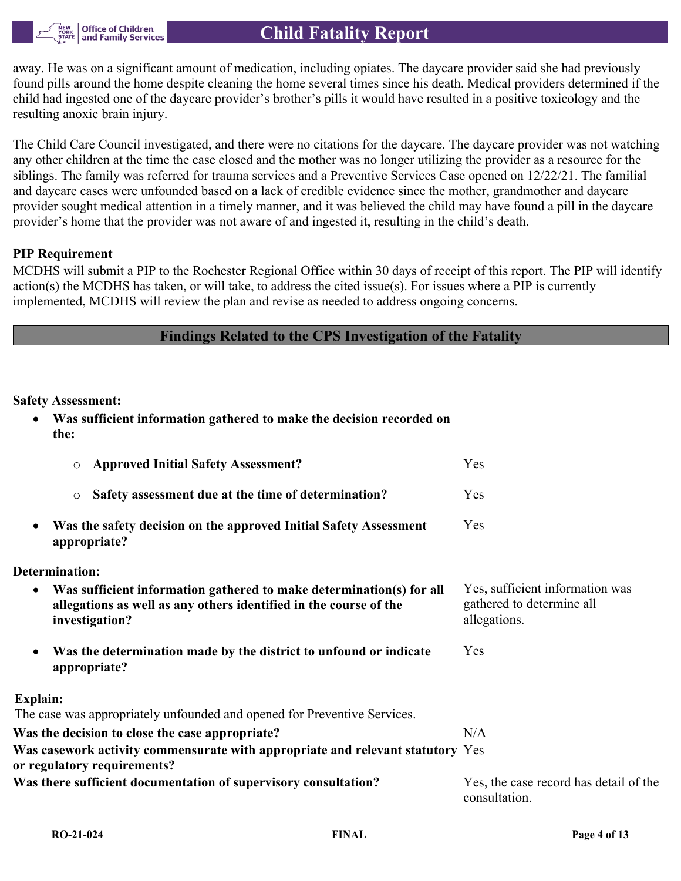

away. He was on a significant amount of medication, including opiates. The daycare provider said she had previously found pills around the home despite cleaning the home several times since his death. Medical providers determined if the child had ingested one of the daycare provider's brother's pills it would have resulted in a positive toxicology and the resulting anoxic brain injury.

The Child Care Council investigated, and there were no citations for the daycare. The daycare provider was not watching any other children at the time the case closed and the mother was no longer utilizing the provider as a resource for the siblings. The family was referred for trauma services and a Preventive Services Case opened on 12/22/21. The familial and daycare cases were unfounded based on a lack of credible evidence since the mother, grandmother and daycare provider sought medical attention in a timely manner, and it was believed the child may have found a pill in the daycare provider's home that the provider was not aware of and ingested it, resulting in the child's death.

#### **PIP Requirement**

MCDHS will submit a PIP to the Rochester Regional Office within 30 days of receipt of this report. The PIP will identify action(s) the MCDHS has taken, or will take, to address the cited issue(s). For issues where a PIP is currently implemented, MCDHS will review the plan and revise as needed to address ongoing concerns.

## **Findings Related to the CPS Investigation of the Fatality**

#### **Safety Assessment:**

 **Was sufficient information gathered to make the decision recorded on the:**

| <b>Approved Initial Safety Assessment?</b><br>$\circ$                                                                                                            | Yes                                                                          |
|------------------------------------------------------------------------------------------------------------------------------------------------------------------|------------------------------------------------------------------------------|
| Safety assessment due at the time of determination?<br>$\circ$                                                                                                   | Yes                                                                          |
| Was the safety decision on the approved Initial Safety Assessment<br>$\bullet$<br>appropriate?                                                                   | Yes                                                                          |
| Determination:                                                                                                                                                   |                                                                              |
| Was sufficient information gathered to make determination(s) for all<br>٠<br>allegations as well as any others identified in the course of the<br>investigation? | Yes, sufficient information was<br>gathered to determine all<br>allegations. |
| Was the determination made by the district to unfound or indicate<br>$\bullet$<br>appropriate?                                                                   | Yes                                                                          |
| Explain:                                                                                                                                                         |                                                                              |
| The case was appropriately unfounded and opened for Preventive Services.                                                                                         |                                                                              |
| Was the decision to close the case appropriate?                                                                                                                  | N/A                                                                          |
| Was casework activity commensurate with appropriate and relevant statutory Yes<br>or regulatory requirements?                                                    |                                                                              |
| Was there sufficient documentation of supervisory consultation?                                                                                                  | Yes, the case record has detail of the<br>consultation.                      |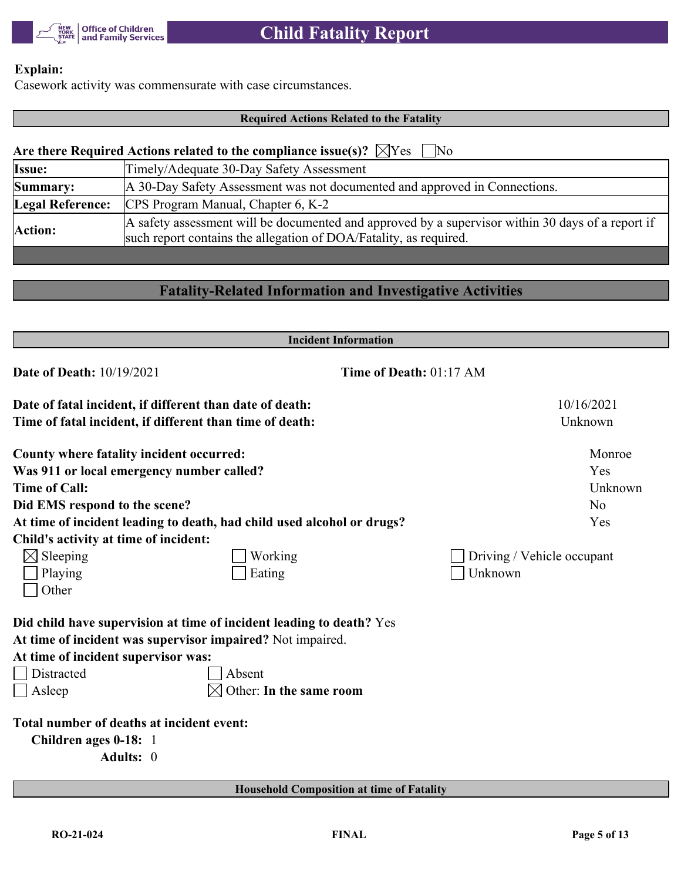

# **Explain:**

Casework activity was commensurate with case circumstances.

# **Required Actions Related to the Fatality**

| Are there Required Actions related to the compliance issue(s)? $\chi$ $\chi$ $\chi$ $\chi$ $\chi$ $\chi$ $\chi$ |                                                                                                                                                                        |  |  |  |  |
|-----------------------------------------------------------------------------------------------------------------|------------------------------------------------------------------------------------------------------------------------------------------------------------------------|--|--|--|--|
| <b>Issue:</b>                                                                                                   | Timely/Adequate 30-Day Safety Assessment                                                                                                                               |  |  |  |  |
| Summary:                                                                                                        | A 30-Day Safety Assessment was not documented and approved in Connections.                                                                                             |  |  |  |  |
| <b>Legal Reference:</b>                                                                                         | CPS Program Manual, Chapter 6, K-2                                                                                                                                     |  |  |  |  |
|                                                                                                                 | A safety assessment will be documented and approved by a supervisor within 30 days of a report if<br>such report contains the allegation of DOA/Fatality, as required. |  |  |  |  |
| Action:                                                                                                         |                                                                                                                                                                        |  |  |  |  |

# **Fatality-Related Information and Investigative Activities**

| <b>Incident Information</b>                                |                                                                        |                            |  |  |
|------------------------------------------------------------|------------------------------------------------------------------------|----------------------------|--|--|
| <b>Date of Death: 10/19/2021</b>                           | Time of Death: 01:17 AM                                                |                            |  |  |
| Date of fatal incident, if different than date of death:   |                                                                        | 10/16/2021                 |  |  |
| Time of fatal incident, if different than time of death:   |                                                                        | Unknown                    |  |  |
| County where fatality incident occurred:                   |                                                                        | Monroe                     |  |  |
| Was 911 or local emergency number called?                  |                                                                        | Yes                        |  |  |
| <b>Time of Call:</b>                                       |                                                                        | Unknown                    |  |  |
| Did EMS respond to the scene?                              |                                                                        | N <sub>o</sub>             |  |  |
|                                                            | At time of incident leading to death, had child used alcohol or drugs? | Yes                        |  |  |
| Child's activity at time of incident:                      |                                                                        |                            |  |  |
| $\boxtimes$ Sleeping                                       | Working                                                                | Driving / Vehicle occupant |  |  |
| Playing                                                    | Eating                                                                 | Unknown                    |  |  |
| Other                                                      |                                                                        |                            |  |  |
|                                                            | Did child have supervision at time of incident leading to death? Yes   |                            |  |  |
| At time of incident was supervisor impaired? Not impaired. |                                                                        |                            |  |  |
| At time of incident supervisor was:                        |                                                                        |                            |  |  |
| <b>Distracted</b>                                          | Absent                                                                 |                            |  |  |
| $\Box$ Asleep                                              | Other: In the same room                                                |                            |  |  |
| Total number of deaths at incident event:                  |                                                                        |                            |  |  |
| Children ages 0-18: 1                                      |                                                                        |                            |  |  |
| Adults: 0                                                  |                                                                        |                            |  |  |
|                                                            |                                                                        |                            |  |  |
|                                                            | <b>Household Composition at time of Fatality</b>                       |                            |  |  |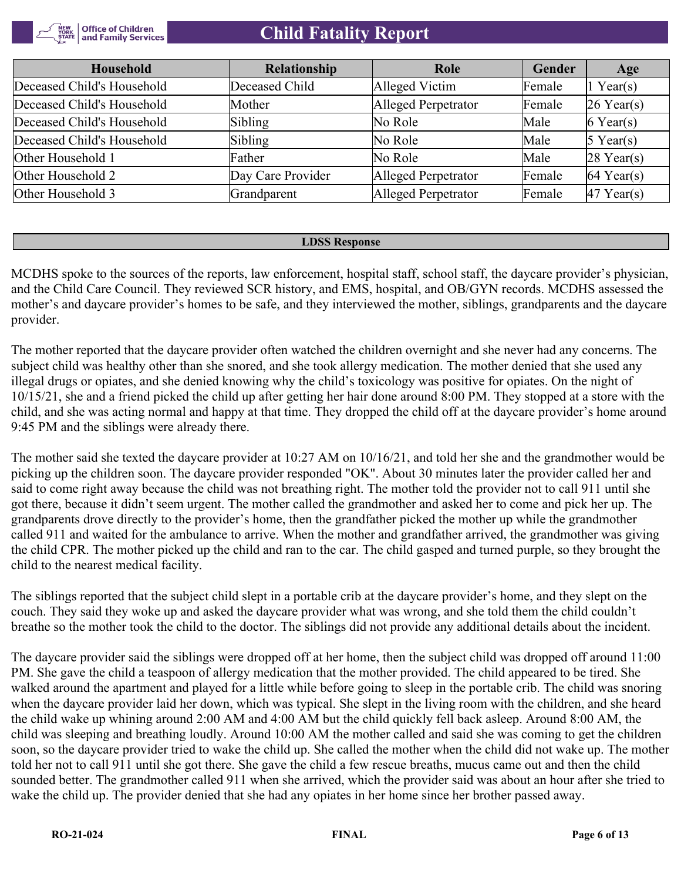

| Household                  | <b>Relationship</b> | Role                | Gender | Age                    |
|----------------------------|---------------------|---------------------|--------|------------------------|
| Deceased Child's Household | Deceased Child      | Alleged Victim      | Female | 1 Year(s)              |
| Deceased Child's Household | Mother              | Alleged Perpetrator | Female | $26$ Year(s)           |
| Deceased Child's Household | Sibling             | No Role             | Male   | $6$ Year(s)            |
| Deceased Child's Household | Sibling             | No Role             | Male   | $5$ Year(s)            |
| Other Household 1          | Father              | No Role             | Male   | $28$ Year(s)           |
| Other Household 2          | Day Care Provider   | Alleged Perpetrator | Female | $ 64 \text{ Year}(s) $ |
| Other Household 3          | Grandparent         | Alleged Perpetrator | Female | $47$ Year(s)           |

#### **LDSS Response**

MCDHS spoke to the sources of the reports, law enforcement, hospital staff, school staff, the daycare provider's physician, and the Child Care Council. They reviewed SCR history, and EMS, hospital, and OB/GYN records. MCDHS assessed the mother's and daycare provider's homes to be safe, and they interviewed the mother, siblings, grandparents and the daycare provider.

The mother reported that the daycare provider often watched the children overnight and she never had any concerns. The subject child was healthy other than she snored, and she took allergy medication. The mother denied that she used any illegal drugs or opiates, and she denied knowing why the child's toxicology was positive for opiates. On the night of 10/15/21, she and a friend picked the child up after getting her hair done around 8:00 PM. They stopped at a store with the child, and she was acting normal and happy at that time. They dropped the child off at the daycare provider's home around 9:45 PM and the siblings were already there.

The mother said she texted the daycare provider at 10:27 AM on 10/16/21, and told her she and the grandmother would be picking up the children soon. The daycare provider responded "OK". About 30 minutes later the provider called her and said to come right away because the child was not breathing right. The mother told the provider not to call 911 until she got there, because it didn't seem urgent. The mother called the grandmother and asked her to come and pick her up. The grandparents drove directly to the provider's home, then the grandfather picked the mother up while the grandmother called 911 and waited for the ambulance to arrive. When the mother and grandfather arrived, the grandmother was giving the child CPR. The mother picked up the child and ran to the car. The child gasped and turned purple, so they brought the child to the nearest medical facility.

The siblings reported that the subject child slept in a portable crib at the daycare provider's home, and they slept on the couch. They said they woke up and asked the daycare provider what was wrong, and she told them the child couldn't breathe so the mother took the child to the doctor. The siblings did not provide any additional details about the incident.

The daycare provider said the siblings were dropped off at her home, then the subject child was dropped off around 11:00 PM. She gave the child a teaspoon of allergy medication that the mother provided. The child appeared to be tired. She walked around the apartment and played for a little while before going to sleep in the portable crib. The child was snoring when the daycare provider laid her down, which was typical. She slept in the living room with the children, and she heard the child wake up whining around 2:00 AM and 4:00 AM but the child quickly fell back asleep. Around 8:00 AM, the child was sleeping and breathing loudly. Around 10:00 AM the mother called and said she was coming to get the children soon, so the daycare provider tried to wake the child up. She called the mother when the child did not wake up. The mother told her not to call 911 until she got there. She gave the child a few rescue breaths, mucus came out and then the child sounded better. The grandmother called 911 when she arrived, which the provider said was about an hour after she tried to wake the child up. The provider denied that she had any opiates in her home since her brother passed away.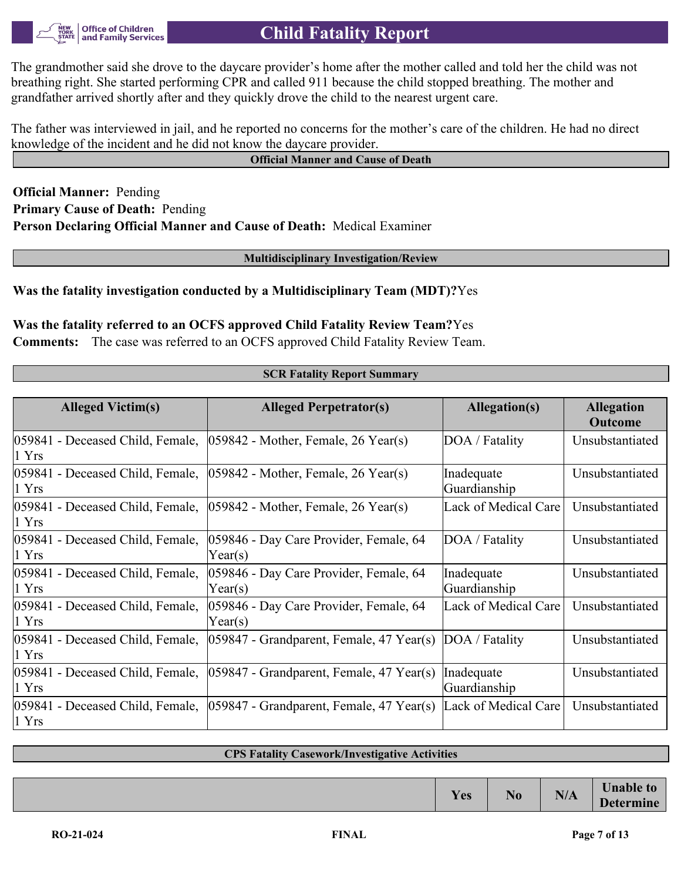

The grandmother said she drove to the daycare provider's home after the mother called and told her the child was not breathing right. She started performing CPR and called 911 because the child stopped breathing. The mother and grandfather arrived shortly after and they quickly drove the child to the nearest urgent care.

The father was interviewed in jail, and he reported no concerns for the mother's care of the children. He had no direct knowledge of the incident and he did not know the daycare provider.

#### **Official Manner and Cause of Death**

**Official Manner:** Pending **Primary Cause of Death:** Pending **Person Declaring Official Manner and Cause of Death:** Medical Examiner

**Multidisciplinary Investigation/Review**

#### **Was the fatality investigation conducted by a Multidisciplinary Team (MDT)?**Yes

### **Was the fatality referred to an OCFS approved Child Fatality Review Team?**Yes

**Comments:** The case was referred to an OCFS approved Child Fatality Review Team.

| <b>SCR Fatality Report Summary</b> |  |
|------------------------------------|--|
|------------------------------------|--|

| <b>Alleged Victim(s)</b>                              | <b>Alleged Perpetrator(s)</b>                     | Allegation(s)              | <b>Allegation</b><br><b>Outcome</b> |
|-------------------------------------------------------|---------------------------------------------------|----------------------------|-------------------------------------|
| 059841 - Deceased Child, Female,<br>1 Yrs             | $ 059842$ - Mother, Female, 26 Year(s)            | DOA / Fatality             | Unsubstantiated                     |
| 059841 - Deceased Child, Female,<br>1 Yrs             | $ 059842$ - Mother, Female, 26 Year(s)            | Inadequate<br>Guardianship | Unsubstantiated                     |
| 059841 - Deceased Child, Female,<br>$ 1 \text{ Yrs} $ | $ 059842$ - Mother, Female, 26 Year(s)            | Lack of Medical Care       | Unsubstantiated                     |
| 059841 - Deceased Child, Female,<br>1 Yrs             | 059846 - Day Care Provider, Female, 64<br>Year(s) | DOA / Fatality             | Unsubstantiated                     |
| 059841 - Deceased Child, Female,<br>1 Yrs             | 059846 - Day Care Provider, Female, 64<br>Year(s) | Inadequate<br>Guardianship | Unsubstantiated                     |
| 059841 - Deceased Child, Female,<br>1 Yrs             | 059846 - Day Care Provider, Female, 64<br>Year(s) | Lack of Medical Care       | Unsubstantiated                     |
| 059841 - Deceased Child, Female,<br>1 Yrs             | $ 059847 - Grandparent$ , Female, 47 Year(s)      | DOA / Fatality             | Unsubstantiated                     |
| 059841 - Deceased Child, Female,<br>1 Yrs             | $ 059847 - Grandparent$ , Female, 47 Year(s)      | Inadequate<br>Guardianship | Unsubstantiated                     |
| 059841 - Deceased Child, Female,<br>1 Yrs             | $ 059847 - Grandparent$ , Female, 47 Year(s)      | Lack of Medical Care       | Unsubstantiated                     |

#### **CPS Fatality Casework/Investigative Activities**

|     |                |                    | T                                    |
|-----|----------------|--------------------|--------------------------------------|
| Yes | N <sub>0</sub> | <b>BIA</b><br>11/L | <b>Unable to</b><br><b>Determine</b> |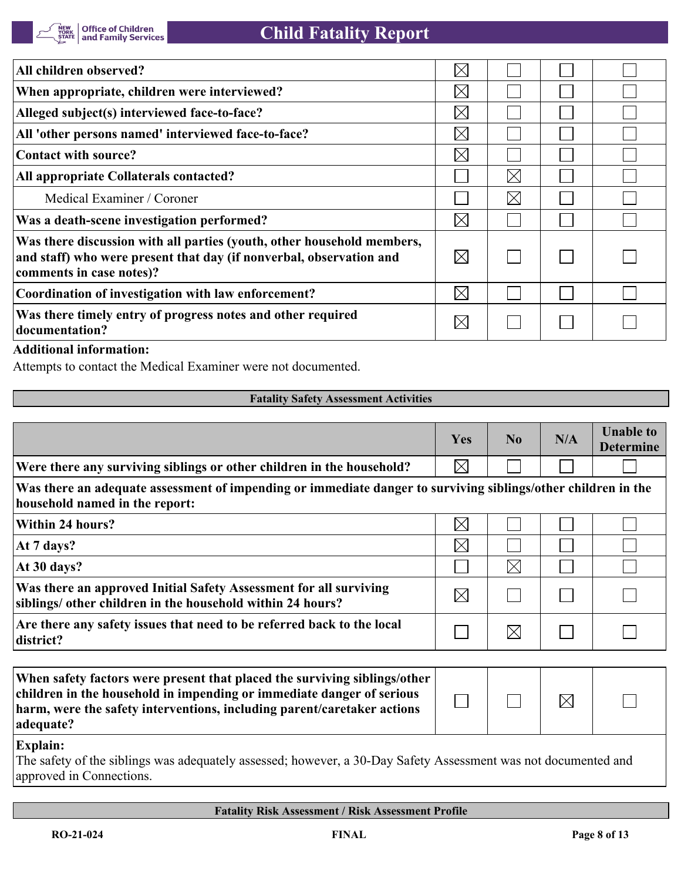| All children observed?                                                                                                                                                    | $\times$    |             |  |
|---------------------------------------------------------------------------------------------------------------------------------------------------------------------------|-------------|-------------|--|
| When appropriate, children were interviewed?                                                                                                                              | $\times$    |             |  |
| Alleged subject(s) interviewed face-to-face?                                                                                                                              | $\boxtimes$ |             |  |
| All 'other persons named' interviewed face-to-face?                                                                                                                       | $\times$    |             |  |
| Contact with source?                                                                                                                                                      | $\times$    |             |  |
| All appropriate Collaterals contacted?                                                                                                                                    |             | $\boxtimes$ |  |
| Medical Examiner / Coroner                                                                                                                                                |             | $\boxtimes$ |  |
| Was a death-scene investigation performed?                                                                                                                                | $\boxtimes$ |             |  |
| Was there discussion with all parties (youth, other household members,<br>and staff) who were present that day (if nonverbal, observation and<br>comments in case notes)? | $\boxtimes$ |             |  |
| Coordination of investigation with law enforcement?                                                                                                                       | $\boxtimes$ |             |  |
| Was there timely entry of progress notes and other required<br>documentation?                                                                                             | $\times$    |             |  |

### **Additional information:**

Attempts to contact the Medical Examiner were not documented.

#### **Fatality Safety Assessment Activities**

|                                                                                                                                                                                                                                            | <b>Yes</b>  | N <sub>0</sub> | N/A         | <b>Unable to</b><br><b>Determine</b> |
|--------------------------------------------------------------------------------------------------------------------------------------------------------------------------------------------------------------------------------------------|-------------|----------------|-------------|--------------------------------------|
| Were there any surviving siblings or other children in the household?                                                                                                                                                                      | $\boxtimes$ |                |             |                                      |
| Was there an adequate assessment of impending or immediate danger to surviving siblings/other children in the<br>household named in the report:                                                                                            |             |                |             |                                      |
| Within 24 hours?                                                                                                                                                                                                                           | $\boxtimes$ |                |             |                                      |
| At 7 days?                                                                                                                                                                                                                                 | $\boxtimes$ |                |             |                                      |
| At 30 days?                                                                                                                                                                                                                                |             | $\boxtimes$    |             |                                      |
| Was there an approved Initial Safety Assessment for all surviving<br>siblings/ other children in the household within 24 hours?                                                                                                            | $\boxtimes$ |                |             |                                      |
| Are there any safety issues that need to be referred back to the local<br>district?                                                                                                                                                        |             | $\times$       |             |                                      |
|                                                                                                                                                                                                                                            |             |                |             |                                      |
| When safety factors were present that placed the surviving siblings/other<br>children in the household in impending or immediate danger of serious<br>harm, were the safety interventions, including parent/caretaker actions<br>adequate? |             |                | $\boxtimes$ |                                      |
| <b>Explain:</b>                                                                                                                                                                                                                            |             |                |             |                                      |

The safety of the siblings was adequately assessed; however, a 30-Day Safety Assessment was not documented and approved in Connections.

#### **Fatality Risk Assessment / Risk Assessment Profile**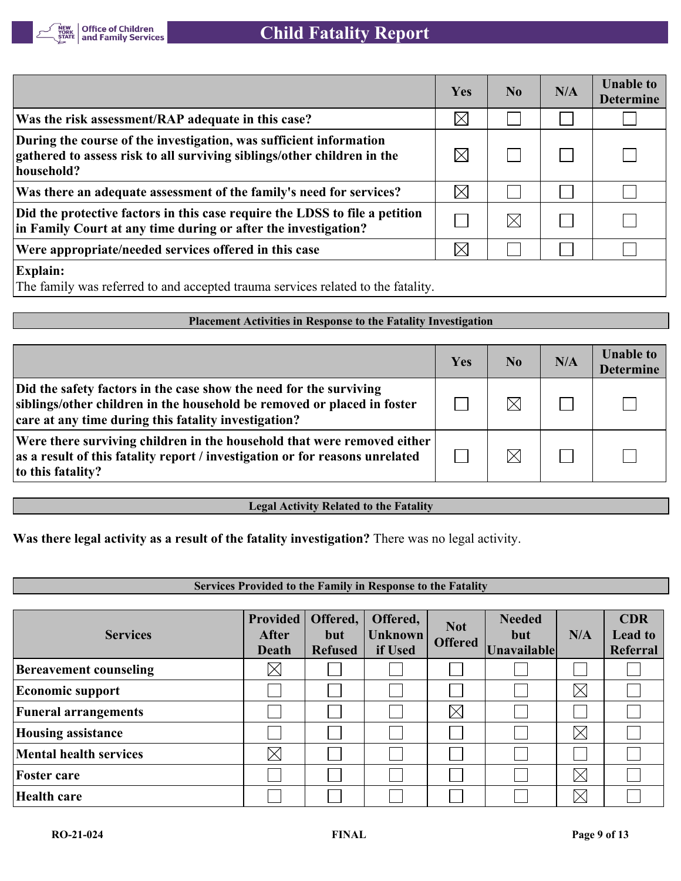

|                                                                                                                                                             | Yes         | N <sub>0</sub> | N/A | <b>Unable to</b><br><b>Determine</b> |
|-------------------------------------------------------------------------------------------------------------------------------------------------------------|-------------|----------------|-----|--------------------------------------|
| Was the risk assessment/RAP adequate in this case?                                                                                                          | $\boxtimes$ |                |     |                                      |
| During the course of the investigation, was sufficient information<br>gathered to assess risk to all surviving siblings/other children in the<br>household? | $\boxtimes$ |                |     |                                      |
| Was there an adequate assessment of the family's need for services?                                                                                         | $\boxtimes$ |                |     |                                      |
| Did the protective factors in this case require the LDSS to file a petition<br>in Family Court at any time during or after the investigation?               |             | $\boxtimes$    |     |                                      |
| Were appropriate/needed services offered in this case                                                                                                       | $\boxtimes$ |                |     |                                      |
| <b>Explain:</b><br>The family was referred to and accepted trauma services related to the fatality.                                                         |             |                |     |                                      |

#### **Placement Activities in Response to the Fatality Investigation**

|                                                                                                                                                                                                       | Yes | No. | N/A | <b>Unable to</b><br><b>Determine</b> |
|-------------------------------------------------------------------------------------------------------------------------------------------------------------------------------------------------------|-----|-----|-----|--------------------------------------|
| Did the safety factors in the case show the need for the surviving<br>siblings/other children in the household be removed or placed in foster<br>care at any time during this fatality investigation? |     |     |     |                                      |
| Were there surviving children in the household that were removed either<br>as a result of this fatality report / investigation or for reasons unrelated<br>to this fatality?                          |     |     |     |                                      |

## **Legal Activity Related to the Fatality**

**Was there legal activity as a result of the fatality investigation?** There was no legal activity.

# **Services Provided to the Family in Response to the Fatality**

| <b>Services</b>               | <b>Provided</b><br><b>After</b><br><b>Death</b> | Offered,<br>but<br><b>Refused</b> | Offered,<br>Unknown<br>if Used | <b>Not</b><br><b>Offered</b> | <b>Needed</b><br>but<br>Unavailable | N/A         | <b>CDR</b><br><b>Lead to</b><br><b>Referral</b> |
|-------------------------------|-------------------------------------------------|-----------------------------------|--------------------------------|------------------------------|-------------------------------------|-------------|-------------------------------------------------|
| <b>Bereavement counseling</b> | $\times$                                        |                                   |                                |                              |                                     |             |                                                 |
| <b>Economic support</b>       |                                                 |                                   |                                |                              |                                     | $\times$    |                                                 |
| <b>Funeral arrangements</b>   |                                                 |                                   |                                | $\boxtimes$                  |                                     |             |                                                 |
| <b>Housing assistance</b>     |                                                 |                                   |                                |                              |                                     | $\times$    |                                                 |
| <b>Mental health services</b> | $\boxtimes$                                     |                                   |                                |                              |                                     |             |                                                 |
| <b>Foster care</b>            |                                                 |                                   |                                |                              |                                     | $\boxtimes$ |                                                 |
| Health care                   |                                                 |                                   |                                |                              |                                     | $\boxtimes$ |                                                 |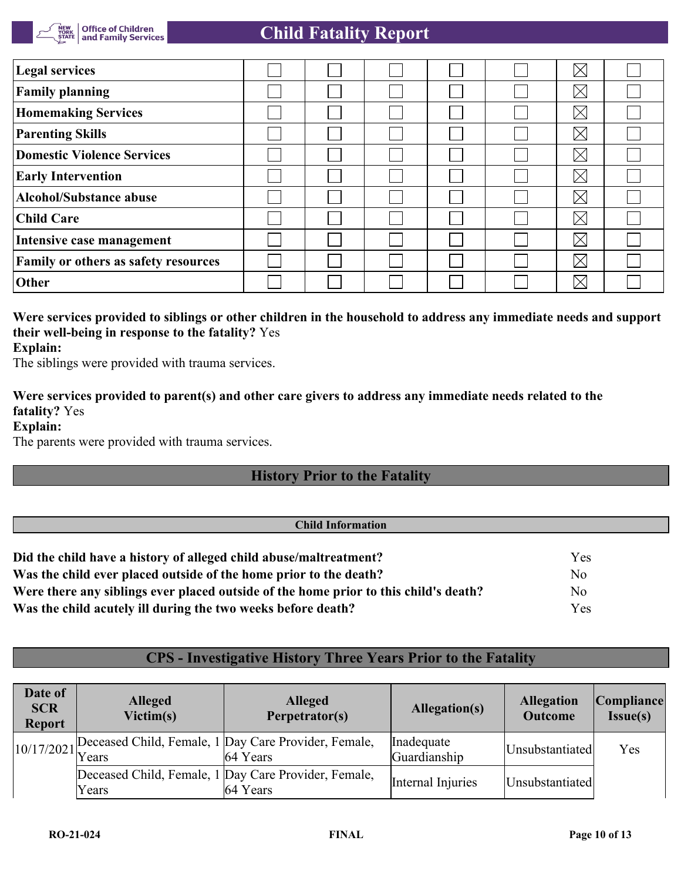

| <b>Legal services</b>                |  |  | $\times$    |  |
|--------------------------------------|--|--|-------------|--|
| <b>Family planning</b>               |  |  | $\boxtimes$ |  |
| <b>Homemaking Services</b>           |  |  | $\boxtimes$ |  |
| <b>Parenting Skills</b>              |  |  | $\boxtimes$ |  |
| <b>Domestic Violence Services</b>    |  |  | $\boxtimes$ |  |
| <b>Early Intervention</b>            |  |  | $\boxtimes$ |  |
| <b>Alcohol/Substance abuse</b>       |  |  | $\boxtimes$ |  |
| <b>Child Care</b>                    |  |  | $\boxtimes$ |  |
| Intensive case management            |  |  | $\boxtimes$ |  |
| Family or others as safety resources |  |  | $\boxtimes$ |  |
| Other                                |  |  | $\boxtimes$ |  |

### **Were services provided to siblings or other children in the household to address any immediate needs and support their well-being in response to the fatality?** Yes **Explain:**

The siblings were provided with trauma services.

# **Were services provided to parent(s) and other care givers to address any immediate needs related to the fatality?** Yes

**Explain:**

The parents were provided with trauma services.

# **History Prior to the Fatality**

#### **Child Information**

| Did the child have a history of alleged child abuse/maltreatment?                    | <b>Yes</b>     |
|--------------------------------------------------------------------------------------|----------------|
| Was the child ever placed outside of the home prior to the death?                    | N <sub>0</sub> |
| Were there any siblings ever placed outside of the home prior to this child's death? | No             |
| Was the child acutely ill during the two weeks before death?                         | <b>Yes</b>     |

# **CPS - Investigative History Three Years Prior to the Fatality**

| Date of<br><b>SCR</b><br><b>Report</b> | <b>Alleged</b><br>Victim(s) | <b>Alleged</b><br>Perpetrator(s)                                 | Allegation(s)              | <b>Allegation</b><br><b>Outcome</b> | Compliance <br>Issue(s) |
|----------------------------------------|-----------------------------|------------------------------------------------------------------|----------------------------|-------------------------------------|-------------------------|
|                                        |                             | 10/17/2021 Deceased Child, Female, 1 Day Care Provider, Female,  | Inadequate<br>Guardianship | Unsubstantiated                     | Yes                     |
|                                        | Years                       | Deceased Child, Female, 1 Day Care Provider, Female,<br>64 Years | Internal Injuries          | Unsubstantiated                     |                         |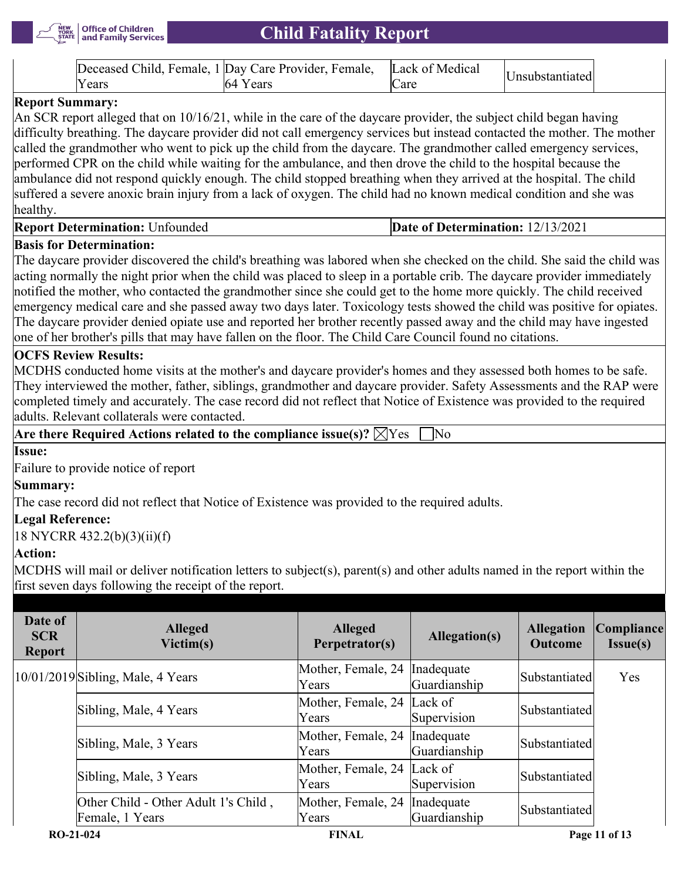

|        | Deceased Child, Female, 1 Day Care Provider, Female, Lack of Medical |      |                 |
|--------|----------------------------------------------------------------------|------|-----------------|
| Y ears |                                                                      | ∠are | Insubstantiated |

## **Report Summary:**

An SCR report alleged that on 10/16/21, while in the care of the daycare provider, the subject child began having difficulty breathing. The daycare provider did not call emergency services but instead contacted the mother. The mother called the grandmother who went to pick up the child from the daycare. The grandmother called emergency services, performed CPR on the child while waiting for the ambulance, and then drove the child to the hospital because the ambulance did not respond quickly enough. The child stopped breathing when they arrived at the hospital. The child suffered a severe anoxic brain injury from a lack of oxygen. The child had no known medical condition and she was healthy.

# **Report Determination:** Unfounded **Date of Determination:** 12/13/2021

## **Basis for Determination:**

The daycare provider discovered the child's breathing was labored when she checked on the child. She said the child was acting normally the night prior when the child was placed to sleep in a portable crib. The daycare provider immediately notified the mother, who contacted the grandmother since she could get to the home more quickly. The child received emergency medical care and she passed away two days later. Toxicology tests showed the child was positive for opiates. The daycare provider denied opiate use and reported her brother recently passed away and the child may have ingested one of her brother's pills that may have fallen on the floor. The Child Care Council found no citations.

## **OCFS Review Results:**

MCDHS conducted home visits at the mother's and daycare provider's homes and they assessed both homes to be safe. They interviewed the mother, father, siblings, grandmother and daycare provider. Safety Assessments and the RAP were completed timely and accurately. The case record did not reflect that Notice of Existence was provided to the required adults. Relevant collaterals were contacted.

**Are there Required Actions related to the compliance issue(s)?**  $\boxtimes$  Yes  $\Box$  No

#### **Issue:**

Failure to provide notice of report

#### **Summary:**

The case record did not reflect that Notice of Existence was provided to the required adults.

## **Legal Reference:**

18 NYCRR 432.2(b)(3)(ii)(f)

#### **Action:**

MCDHS will mail or deliver notification letters to subject(s), parent(s) and other adults named in the report within the first seven days following the receipt of the report.

| Date of<br><b>SCR</b><br><b>Report</b> | <b>Alleged</b><br>Victim(s)                             | <b>Alleged</b><br>Perpetrator(s)       | Allegation(s)              | <b>Allegation</b><br><b>Outcome</b> | Compliance <br>Issue(s) |
|----------------------------------------|---------------------------------------------------------|----------------------------------------|----------------------------|-------------------------------------|-------------------------|
|                                        | $10/01/2019$ Sibling, Male, 4 Years                     | Mother, Female, 24 Inadequate<br>Years | Guardianship               | Substantiated                       | Yes                     |
|                                        | Sibling, Male, 4 Years                                  | Mother, Female, 24 Lack of<br>Years    | Supervision                | Substantiated                       |                         |
|                                        | Sibling, Male, 3 Years                                  | Mother, Female, 24 Inadequate<br>Years | Guardianship               | Substantiated                       |                         |
|                                        | Sibling, Male, 3 Years                                  | Mother, Female, 24 Lack of<br>Years    | Supervision                | Substantiated                       |                         |
|                                        | Other Child - Other Adult 1's Child,<br>Female, 1 Years | Mother, Female, 24<br>Years            | Inadequate<br>Guardianship | Substantiated                       |                         |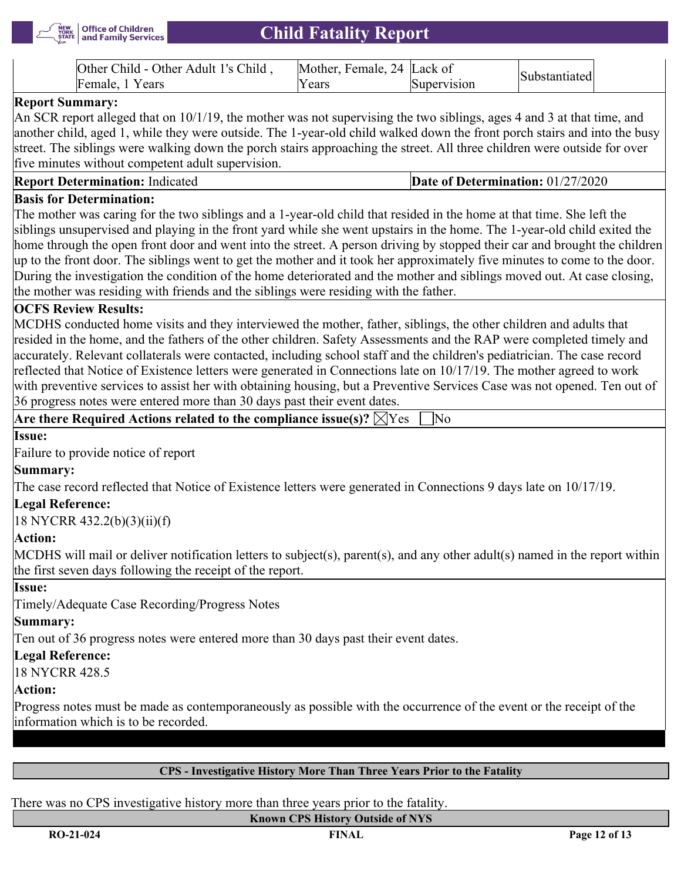

| Other Adult 1's Child<br>Other<br>$\ln 1$ d – | ±emale<br><b>IMother</b><br>14. | Lack of | $\sim$ |
|-----------------------------------------------|---------------------------------|---------|--------|
| Female<br>ears                                | ears                            | sion    |        |

## **Report Summary:**

An SCR report alleged that on  $10/1/19$ , the mother was not supervising the two siblings, ages 4 and 3 at that time, and another child, aged 1, while they were outside. The 1-year-old child walked down the front porch stairs and into the busy street. The siblings were walking down the porch stairs approaching the street. All three children were outside for over five minutes without competent adult supervision.

| <b>Report Determination: Indicated</b> |
|----------------------------------------|
|----------------------------------------|

## **Date of Determination: 01/27/2020**

# **Basis for Determination:**

The mother was caring for the two siblings and a 1-year-old child that resided in the home at that time. She left the siblings unsupervised and playing in the front yard while she went upstairs in the home. The 1-year-old child exited the home through the open front door and went into the street. A person driving by stopped their car and brought the children up to the front door. The siblings went to get the mother and it took her approximately five minutes to come to the door. During the investigation the condition of the home deteriorated and the mother and siblings moved out. At case closing, the mother was residing with friends and the siblings were residing with the father.

# **OCFS Review Results:**

MCDHS conducted home visits and they interviewed the mother, father, siblings, the other children and adults that resided in the home, and the fathers of the other children. Safety Assessments and the RAP were completed timely and accurately. Relevant collaterals were contacted, including school staff and the children's pediatrician. The case record reflected that Notice of Existence letters were generated in Connections late on 10/17/19. The mother agreed to work with preventive services to assist her with obtaining housing, but a Preventive Services Case was not opened. Ten out of 36 progress notes were entered more than 30 days past their event dates.

Are there Required Actions related to the compliance issue(s)?  $\boxtimes$  Yes  $\Box$  No

#### **Issue:**

Failure to provide notice of report

# **Summary:**

The case record reflected that Notice of Existence letters were generated in Connections 9 days late on 10/17/19.

## **Legal Reference:**

18 NYCRR 432.2(b)(3)(ii)(f)

## **Action:**

MCDHS will mail or deliver notification letters to subject(s), parent(s), and any other adult(s) named in the report within the first seven days following the receipt of the report.

#### **Issue:**

Timely/Adequate Case Recording/Progress Notes

# **Summary:**

Ten out of 36 progress notes were entered more than 30 days past their event dates.

# **Legal Reference:**

18 NYCRR 428.5

# **Action:**

Progress notes must be made as contemporaneously as possible with the occurrence of the event or the receipt of the information which is to be recorded.

# **CPS - Investigative History More Than Three Years Prior to the Fatality**

There was no CPS investigative history more than three years prior to the fatality.

#### **Known CPS History Outside of NYS**